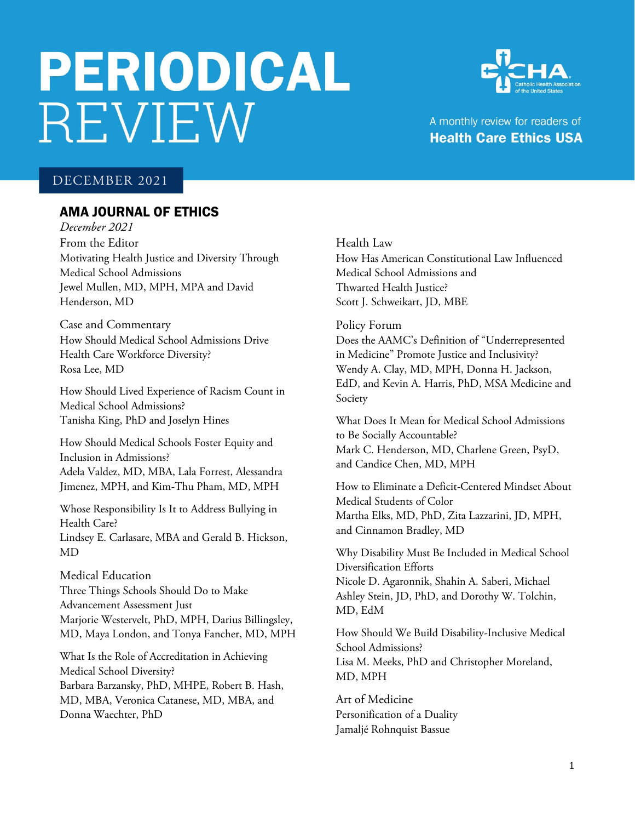# **PERIODICAL REVIEW**



A monthly review for readers of **Health Care Ethics USA** 

# DECEMBER 2021

# AMA JOURNAL OF ETHICS

*December 2021* From the Editor Motivating Health Justice and Diversity Through Medical School Admissions Jewel Mullen, MD, MPH, MPA and David Henderson, MD

Case and Commentary How Should Medical School Admissions Drive Health Care Workforce Diversity? Rosa Lee, MD

How Should Lived Experience of Racism Count in Medical School Admissions? Tanisha King, PhD and Joselyn Hines

How Should Medical Schools Foster Equity and Inclusion in Admissions? Adela Valdez, MD, MBA, Lala Forrest, Alessandra Jimenez, MPH, and Kim-Thu Pham, MD, MPH

Whose Responsibility Is It to Address Bullying in Health Care? Lindsey E. Carlasare, MBA and Gerald B. Hickson, MD

Medical Education Three Things Schools Should Do to Make Advancement Assessment Just Marjorie Westervelt, PhD, MPH, Darius Billingsley, MD, Maya London, and Tonya Fancher, MD, MPH

What Is the Role of Accreditation in Achieving Medical School Diversity? Barbara Barzansky, PhD, MHPE, Robert B. Hash, MD, MBA, Veronica Catanese, MD, MBA, and Donna Waechter, PhD

Health Law

How Has American Constitutional Law Influenced Medical School Admissions and Thwarted Health Justice? Scott J. Schweikart, JD, MBE

Policy Forum

Does the AAMC's Definition of "Underrepresented in Medicine" Promote Justice and Inclusivity? Wendy A. Clay, MD, MPH, Donna H. Jackson, EdD, and Kevin A. Harris, PhD, MSA Medicine and Society

What Does It Mean for Medical School Admissions to Be Socially Accountable? Mark C. Henderson, MD, Charlene Green, PsyD, and Candice Chen, MD, MPH

How to Eliminate a Deficit-Centered Mindset About Medical Students of Color Martha Elks, MD, PhD, Zita Lazzarini, JD, MPH, and Cinnamon Bradley, MD

Why Disability Must Be Included in Medical School Diversification Efforts Nicole D. Agaronnik, Shahin A. Saberi, Michael Ashley Stein, JD, PhD, and Dorothy W. Tolchin, MD, EdM

How Should We Build Disability-Inclusive Medical School Admissions? Lisa M. Meeks, PhD and Christopher Moreland, MD, MPH

Art of Medicine Personification of a Duality Jamaljé Rohnquist Bassue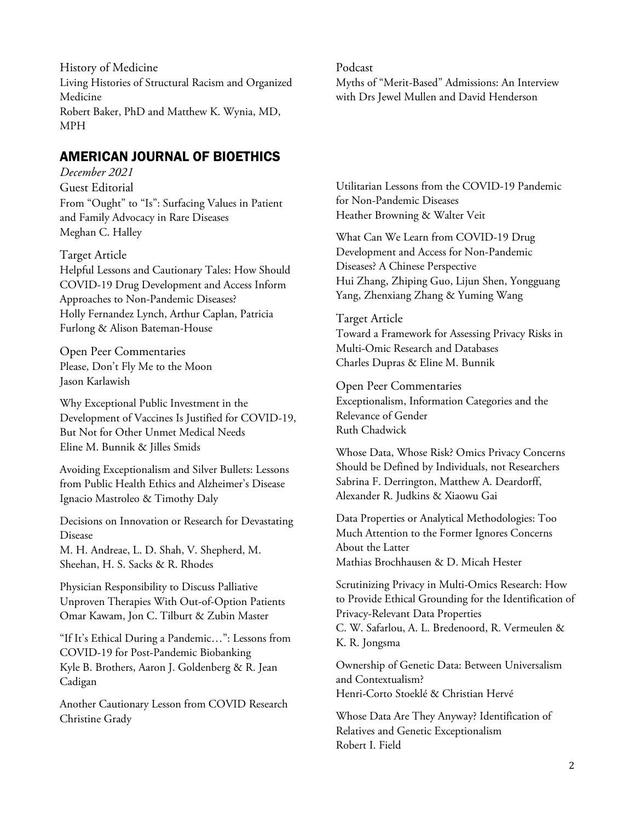History of Medicine Living Histories of Structural Racism and Organized Medicine Robert Baker, PhD and Matthew K. Wynia, MD, MPH

# AMERICAN JOURNAL OF BIOETHICS

# *December 2021*

Guest Editorial From "Ought" to "Is": Surfacing Values in Patient and Family Advocacy in Rare Diseases Meghan C. Halley

# Target Article

Helpful Lessons and Cautionary Tales: How Should COVID-19 Drug Development and Access Inform Approaches to Non-Pandemic Diseases? Holly Fernandez Lynch, Arthur Caplan, Patricia Furlong & Alison Bateman-House

Open Peer Commentaries Please, Don't Fly Me to the Moon Jason Karlawish

Why Exceptional Public Investment in the Development of Vaccines Is Justified for COVID-19, But Not for Other Unmet Medical Needs Eline M. Bunnik & Jilles Smids

Avoiding Exceptionalism and Silver Bullets: Lessons from Public Health Ethics and Alzheimer's Disease Ignacio Mastroleo & Timothy Daly

Decisions on Innovation or Research for Devastating Disease

M. H. Andreae, L. D. Shah, V. Shepherd, M. Sheehan, H. S. Sacks & R. Rhodes

Physician Responsibility to Discuss Palliative Unproven Therapies With Out-of-Option Patients Omar Kawam, Jon C. Tilburt & Zubin Master

"If It's Ethical During a Pandemic…": Lessons from COVID-19 for Post-Pandemic Biobanking Kyle B. Brothers, Aaron J. Goldenberg & R. Jean Cadigan

Another Cautionary Lesson from COVID Research Christine Grady

## Podcast

Myths of "Merit-Based" Admissions: An Interview with Drs Jewel Mullen and David Henderson

Utilitarian Lessons from the COVID-19 Pandemic for Non-Pandemic Diseases Heather Browning & Walter Veit

What Can We Learn from COVID-19 Drug Development and Access for Non-Pandemic Diseases? A Chinese Perspective Hui Zhang, Zhiping Guo, Lijun Shen, Yongguang Yang, Zhenxiang Zhang & Yuming Wang

## Target Article

Toward a Framework for Assessing Privacy Risks in Multi-Omic Research and Databases Charles Dupras & Eline M. Bunnik

Open Peer Commentaries Exceptionalism, Information Categories and the Relevance of Gender Ruth Chadwick

Whose Data, Whose Risk? Omics Privacy Concerns Should be Defined by Individuals, not Researchers Sabrina F. Derrington, Matthew A. Deardorff, Alexander R. Judkins & Xiaowu Gai

Data Properties or Analytical Methodologies: Too Much Attention to the Former Ignores Concerns About the Latter Mathias Brochhausen & D. Micah Hester

Scrutinizing Privacy in Multi-Omics Research: How to Provide Ethical Grounding for the Identification of Privacy-Relevant Data Properties C. W. Safarlou, A. L. Bredenoord, R. Vermeulen & K. R. Jongsma

Ownership of Genetic Data: Between Universalism and Contextualism? Henri-Corto Stoeklé & Christian Hervé

Whose Data Are They Anyway? Identification of Relatives and Genetic Exceptionalism Robert I. Field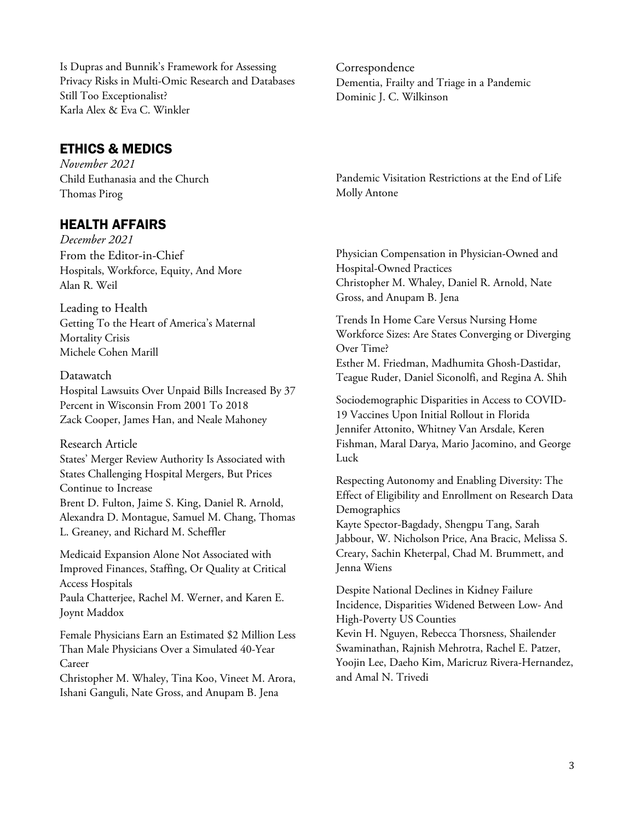Is Dupras and Bunnik's Framework for Assessing Privacy Risks in Multi-Omic Research and Databases Still Too Exceptionalist? Karla Alex & Eva C. Winkler

# ETHICS & MEDICS

*November 2021* Child Euthanasia and the Church Thomas Pirog

# HEALTH AFFAIRS

*December 2021* From the Editor-in-Chief Hospitals, Workforce, Equity, And More Alan R. Weil

Leading to Health Getting To the Heart of America's Maternal Mortality Crisis Michele Cohen Marill

## Datawatch

Hospital Lawsuits Over Unpaid Bills Increased By 37 Percent in Wisconsin From 2001 To 2018 Zack Cooper, James Han, and Neale Mahoney

## Research Article

States' Merger Review Authority Is Associated with States Challenging Hospital Mergers, But Prices Continue to Increase Brent D. Fulton, Jaime S. King, Daniel R. Arnold, Alexandra D. Montague, Samuel M. Chang, Thomas L. Greaney, and Richard M. Scheffler

Medicaid Expansion Alone Not Associated with Improved Finances, Staffing, Or Quality at Critical Access Hospitals

Paula Chatterjee, Rachel M. Werner, and Karen E. Joynt Maddox

Female Physicians Earn an Estimated \$2 Million Less Than Male Physicians Over a Simulated 40-Year Career

Christopher M. Whaley, Tina Koo, Vineet M. Arora, Ishani Ganguli, Nate Gross, and Anupam B. Jena

Correspondence Dementia, Frailty and Triage in a Pandemic Dominic J. C. Wilkinson

Pandemic Visitation Restrictions at the End of Life Molly Antone

Physician Compensation in Physician-Owned and Hospital-Owned Practices Christopher M. Whaley, Daniel R. Arnold, Nate Gross, and Anupam B. Jena

Trends In Home Care Versus Nursing Home Workforce Sizes: Are States Converging or Diverging Over Time? Esther M. Friedman, Madhumita Ghosh-Dastidar, Teague Ruder, Daniel Siconolfi, and Regina A. Shih

Sociodemographic Disparities in Access to COVID-19 Vaccines Upon Initial Rollout in Florida Jennifer Attonito, Whitney Van Arsdale, Keren Fishman, Maral Darya, Mario Jacomino, and George Luck

Respecting Autonomy and Enabling Diversity: The Effect of Eligibility and Enrollment on Research Data Demographics

Kayte Spector-Bagdady, Shengpu Tang, Sarah Jabbour, W. Nicholson Price, Ana Bracic, Melissa S. Creary, Sachin Kheterpal, Chad M. Brummett, and Jenna Wiens

Despite National Declines in Kidney Failure Incidence, Disparities Widened Between Low- And High-Poverty US Counties Kevin H. Nguyen, Rebecca Thorsness, Shailender Swaminathan, Rajnish Mehrotra, Rachel E. Patzer, Yoojin Lee, Daeho Kim, Maricruz Rivera-Hernandez, and Amal N. Trivedi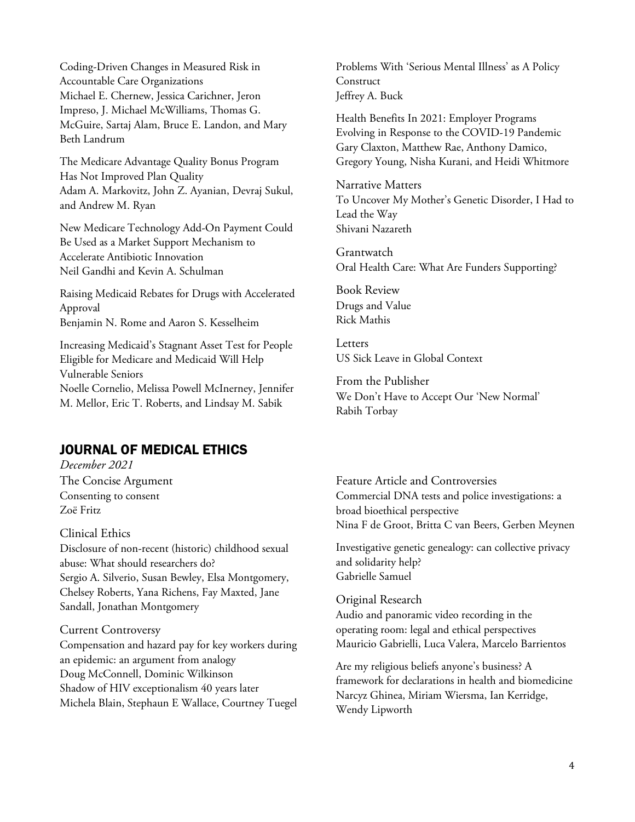Coding-Driven Changes in Measured Risk in Accountable Care Organizations Michael E. Chernew, Jessica Carichner, Jeron Impreso, J. Michael McWilliams, Thomas G. McGuire, Sartaj Alam, Bruce E. Landon, and Mary Beth Landrum

The Medicare Advantage Quality Bonus Program Has Not Improved Plan Quality Adam A. Markovitz, John Z. Ayanian, Devraj Sukul, and Andrew M. Ryan

New Medicare Technology Add-On Payment Could Be Used as a Market Support Mechanism to Accelerate Antibiotic Innovation Neil Gandhi and Kevin A. Schulman

Raising Medicaid Rebates for Drugs with Accelerated Approval Benjamin N. Rome and Aaron S. Kesselheim

Increasing Medicaid's Stagnant Asset Test for People Eligible for Medicare and Medicaid Will Help Vulnerable Seniors Noelle Cornelio, Melissa Powell McInerney, Jennifer M. Mellor, Eric T. Roberts, and Lindsay M. Sabik

# JOURNAL OF MEDICAL ETHICS

*December 2021* The Concise Argument Consenting to consent Zoë Fritz

Clinical Ethics

Disclosure of non-recent (historic) childhood sexual abuse: What should researchers do? Sergio A. Silverio, Susan Bewley, Elsa Montgomery, Chelsey Roberts, Yana Richens, Fay Maxted, Jane Sandall, Jonathan Montgomery

## Current Controversy

Compensation and hazard pay for key workers during an epidemic: an argument from analogy Doug McConnell, Dominic Wilkinson Shadow of HIV exceptionalism 40 years later Michela Blain, Stephaun E Wallace, Courtney Tuegel

Problems With 'Serious Mental Illness' as A Policy **Construct** Jeffrey A. Buck

Health Benefits In 2021: Employer Programs Evolving in Response to the COVID-19 Pandemic Gary Claxton, Matthew Rae, Anthony Damico, Gregory Young, Nisha Kurani, and Heidi Whitmore

Narrative Matters To Uncover My Mother's Genetic Disorder, I Had to Lead the Way Shivani Nazareth

Grantwatch Oral Health Care: What Are Funders Supporting?

Book Review Drugs and Value Rick Mathis

**Letters** US Sick Leave in Global Context

From the Publisher We Don't Have to Accept Our 'New Normal' Rabih Torbay

Feature Article and Controversies Commercial DNA tests and police investigations: a broad bioethical perspective Nina F de Groot, Britta C van Beers, Gerben Meynen

Investigative genetic genealogy: can collective privacy and solidarity help? Gabrielle Samuel

Original Research Audio and panoramic video recording in the operating room: legal and ethical perspectives Mauricio Gabrielli, Luca Valera, Marcelo Barrientos

Are my religious beliefs anyone's business? A framework for declarations in health and biomedicine Narcyz Ghinea, Miriam Wiersma, Ian Kerridge, Wendy Lipworth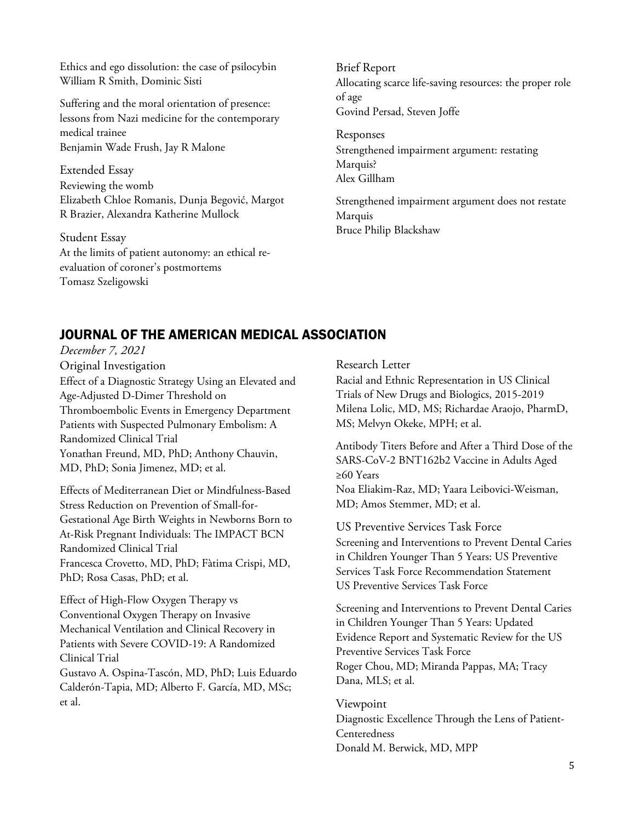Ethics and ego dissolution: the case of psilocybin William R Smith, Dominic Sisti

Suffering and the moral orientation of presence: lessons from Nazi medicine for the contemporary medical trainee Benjamin Wade Frush, Jay R Malone

Extended Essay Reviewing the womb Elizabeth Chloe Romanis, Dunja Begović, Margot R Brazier, Alexandra Katherine Mullock

Student Essay At the limits of patient autonomy: an ethical reevaluation of coroner's postmortems Tomasz Szeligowski

# Brief Report Allocating scarce life-saving resources: the proper role of age Govind Persad, Steven Joffe

Responses Strengthened impairment argument: restating Marquis? Alex Gillham

Strengthened impairment argument does not restate Marquis Bruce Philip Blackshaw

# JOURNAL OF THE AMERICAN MEDICAL ASSOCIATION

*December 7, 2021*  Original Investigation Effect of a Diagnostic Strategy Using an Elevated and Age-Adjusted D-Dimer Threshold on Thromboembolic Events in Emergency Department Patients with Suspected Pulmonary Embolism: A Randomized Clinical Trial Yonathan Freund, MD, PhD; Anthony Chauvin, MD, PhD; Sonia Jimenez, MD; et al.

Effects of Mediterranean Diet or Mindfulness-Based Stress Reduction on Prevention of Small-for-Gestational Age Birth Weights in Newborns Born to At-Risk Pregnant Individuals: The IMPACT BCN Randomized Clinical Trial Francesca Crovetto, MD, PhD; Fàtima Crispi, MD, PhD; Rosa Casas, PhD; et al.

Effect of High-Flow Oxygen Therapy vs Conventional Oxygen Therapy on Invasive Mechanical Ventilation and Clinical Recovery in Patients with Severe COVID-19: A Randomized Clinical Trial Gustavo A. Ospina-Tascón, MD, PhD; Luis Eduardo Calderón-Tapia, MD; Alberto F. García, MD, MSc; et al.

Research Letter

Racial and Ethnic Representation in US Clinical Trials of New Drugs and Biologics, 2015-2019 Milena Lolic, MD, MS; Richardae Araojo, PharmD, MS; Melvyn Okeke, MPH; et al.

Antibody Titers Before and After a Third Dose of the SARS-CoV-2 BNT162b2 Vaccine in Adults Aged ≥60 Years

Noa Eliakim-Raz, MD; Yaara Leibovici-Weisman, MD; Amos Stemmer, MD; et al.

US Preventive Services Task Force Screening and Interventions to Prevent Dental Caries in Children Younger Than 5 Years: US Preventive Services Task Force Recommendation Statement US Preventive Services Task Force

Screening and Interventions to Prevent Dental Caries in Children Younger Than 5 Years: Updated Evidence Report and Systematic Review for the US Preventive Services Task Force Roger Chou, MD; Miranda Pappas, MA; Tracy Dana, MLS; et al.

Viewpoint Diagnostic Excellence Through the Lens of Patient-Centeredness Donald M. Berwick, MD, MPP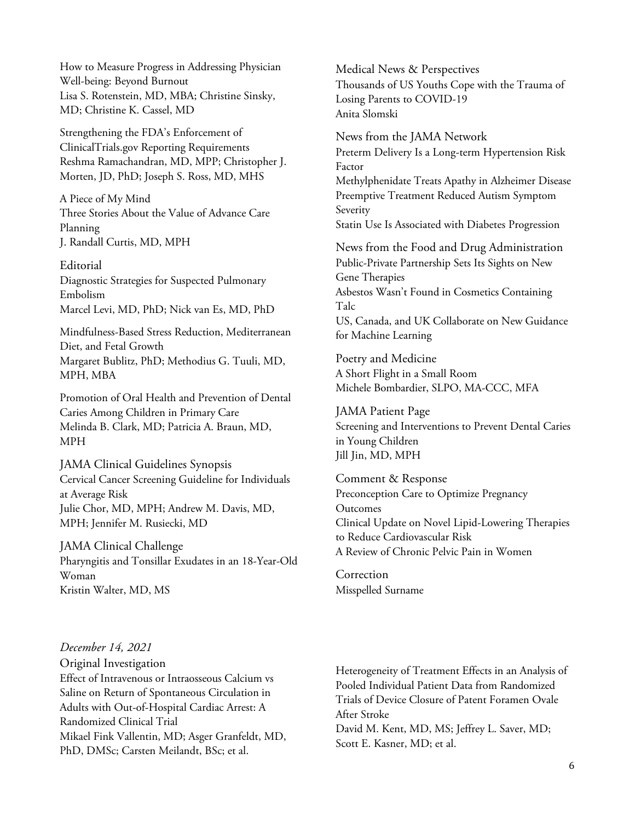How to Measure Progress in Addressing Physician Well-being: Beyond Burnout Lisa S. Rotenstein, MD, MBA; Christine Sinsky, MD; Christine K. Cassel, MD

Strengthening the FDA's Enforcement of ClinicalTrials.gov Reporting Requirements Reshma Ramachandran, MD, MPP; Christopher J. Morten, JD, PhD; Joseph S. Ross, MD, MHS

A Piece of My Mind Three Stories About the Value of Advance Care Planning J. Randall Curtis, MD, MPH

Editorial Diagnostic Strategies for Suspected Pulmonary Embolism Marcel Levi, MD, PhD; Nick van Es, MD, PhD

Mindfulness-Based Stress Reduction, Mediterranean Diet, and Fetal Growth Margaret Bublitz, PhD; Methodius G. Tuuli, MD, MPH, MBA

Promotion of Oral Health and Prevention of Dental Caries Among Children in Primary Care Melinda B. Clark, MD; Patricia A. Braun, MD, MPH

JAMA Clinical Guidelines Synopsis Cervical Cancer Screening Guideline for Individuals at Average Risk Julie Chor, MD, MPH; Andrew M. Davis, MD, MPH; Jennifer M. Rusiecki, MD

JAMA Clinical Challenge Pharyngitis and Tonsillar Exudates in an 18-Year-Old Woman Kristin Walter, MD, MS

Medical News & Perspectives Thousands of US Youths Cope with the Trauma of Losing Parents to COVID-19 Anita Slomski

News from the JAMA Network Preterm Delivery Is a Long-term Hypertension Risk Factor Methylphenidate Treats Apathy in Alzheimer Disease Preemptive Treatment Reduced Autism Symptom Severity Statin Use Is Associated with Diabetes Progression

News from the Food and Drug Administration Public-Private Partnership Sets Its Sights on New Gene Therapies Asbestos Wasn't Found in Cosmetics Containing Talc US, Canada, and UK Collaborate on New Guidance for Machine Learning

Poetry and Medicine A Short Flight in a Small Room Michele Bombardier, SLPO, MA-CCC, MFA

JAMA Patient Page Screening and Interventions to Prevent Dental Caries in Young Children Jill Jin, MD, MPH

Comment & Response Preconception Care to Optimize Pregnancy Outcomes Clinical Update on Novel Lipid-Lowering Therapies to Reduce Cardiovascular Risk A Review of Chronic Pelvic Pain in Women

Correction Misspelled Surname

*December 14, 2021*  Original Investigation Effect of Intravenous or Intraosseous Calcium vs Saline on Return of Spontaneous Circulation in Adults with Out-of-Hospital Cardiac Arrest: A Randomized Clinical Trial Mikael Fink Vallentin, MD; Asger Granfeldt, MD, PhD, DMSc; Carsten Meilandt, BSc; et al.

Heterogeneity of Treatment Effects in an Analysis of Pooled Individual Patient Data from Randomized Trials of Device Closure of Patent Foramen Ovale After Stroke

David M. Kent, MD, MS; Jeffrey L. Saver, MD; Scott E. Kasner, MD; et al.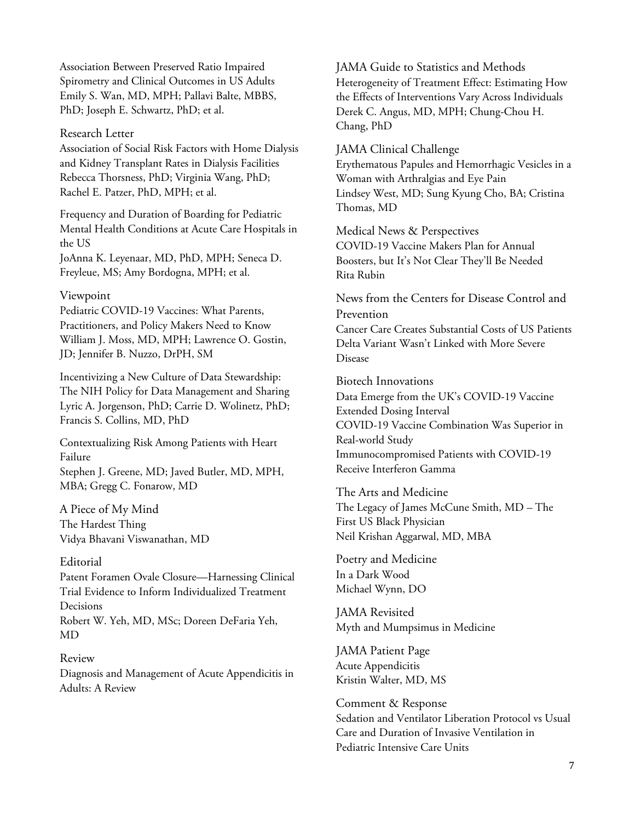Association Between Preserved Ratio Impaired Spirometry and Clinical Outcomes in US Adults Emily S. Wan, MD, MPH; Pallavi Balte, MBBS, PhD; Joseph E. Schwartz, PhD; et al.

#### Research Letter

Association of Social Risk Factors with Home Dialysis and Kidney Transplant Rates in Dialysis Facilities Rebecca Thorsness, PhD; Virginia Wang, PhD; Rachel E. Patzer, PhD, MPH; et al.

Frequency and Duration of Boarding for Pediatric Mental Health Conditions at Acute Care Hospitals in the US

JoAnna K. Leyenaar, MD, PhD, MPH; Seneca D. Freyleue, MS; Amy Bordogna, MPH; et al.

#### Viewpoint

Pediatric COVID-19 Vaccines: What Parents, Practitioners, and Policy Makers Need to Know William J. Moss, MD, MPH; Lawrence O. Gostin, JD; Jennifer B. Nuzzo, DrPH, SM

Incentivizing a New Culture of Data Stewardship: The NIH Policy for Data Management and Sharing Lyric A. Jorgenson, PhD; Carrie D. Wolinetz, PhD; Francis S. Collins, MD, PhD

Contextualizing Risk Among Patients with Heart Failure Stephen J. Greene, MD; Javed Butler, MD, MPH, MBA; Gregg C. Fonarow, MD

A Piece of My Mind The Hardest Thing Vidya Bhavani Viswanathan, MD

#### Editorial

Patent Foramen Ovale Closure—Harnessing Clinical Trial Evidence to Inform Individualized Treatment Decisions

Robert W. Yeh, MD, MSc; Doreen DeFaria Yeh, MD

Review Diagnosis and Management of Acute Appendicitis in Adults: A Review

JAMA Guide to Statistics and Methods Heterogeneity of Treatment Effect: Estimating How the Effects of Interventions Vary Across Individuals Derek C. Angus, MD, MPH; Chung-Chou H. Chang, PhD

JAMA Clinical Challenge

Erythematous Papules and Hemorrhagic Vesicles in a Woman with Arthralgias and Eye Pain Lindsey West, MD; Sung Kyung Cho, BA; Cristina Thomas, MD

Medical News & Perspectives COVID-19 Vaccine Makers Plan for Annual Boosters, but It's Not Clear They'll Be Needed Rita Rubin

News from the Centers for Disease Control and Prevention

Cancer Care Creates Substantial Costs of US Patients Delta Variant Wasn't Linked with More Severe Disease

Biotech Innovations

Data Emerge from the UK's COVID-19 Vaccine Extended Dosing Interval COVID-19 Vaccine Combination Was Superior in Real-world Study Immunocompromised Patients with COVID-19 Receive Interferon Gamma

The Arts and Medicine The Legacy of James McCune Smith, MD – The First US Black Physician Neil Krishan Aggarwal, MD, MBA

Poetry and Medicine In a Dark Wood Michael Wynn, DO

JAMA Revisited Myth and Mumpsimus in Medicine

JAMA Patient Page Acute Appendicitis Kristin Walter, MD, MS

Comment & Response Sedation and Ventilator Liberation Protocol vs Usual Care and Duration of Invasive Ventilation in Pediatric Intensive Care Units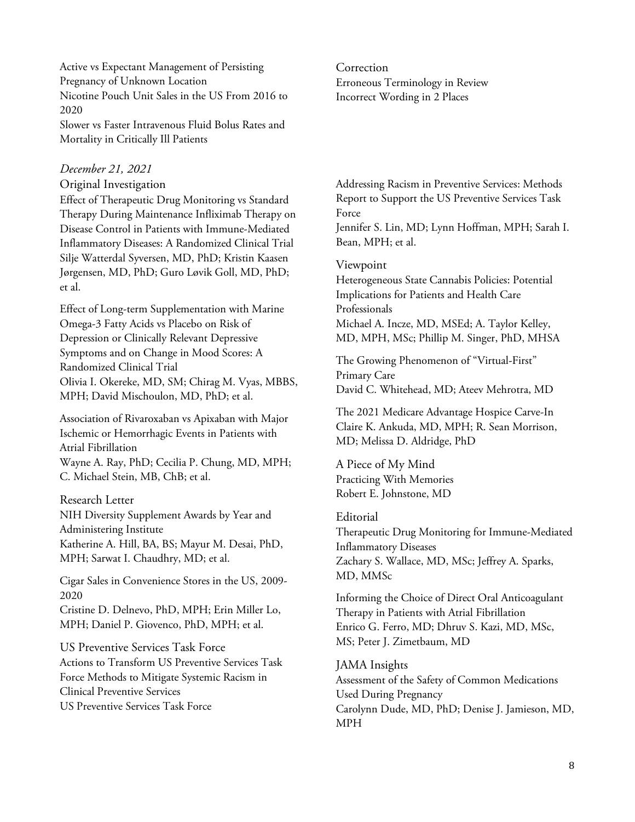Active vs Expectant Management of Persisting Pregnancy of Unknown Location Nicotine Pouch Unit Sales in the US From 2016 to 2020 Slower vs Faster Intravenous Fluid Bolus Rates and Mortality in Critically Ill Patients

## *December 21, 2021*

#### Original Investigation

Effect of Therapeutic Drug Monitoring vs Standard Therapy During Maintenance Infliximab Therapy on Disease Control in Patients with Immune-Mediated Inflammatory Diseases: A Randomized Clinical Trial Silje Watterdal Syversen, MD, PhD; Kristin Kaasen Jørgensen, MD, PhD; Guro Løvik Goll, MD, PhD; et al.

Effect of Long-term Supplementation with Marine Omega-3 Fatty Acids vs Placebo on Risk of Depression or Clinically Relevant Depressive Symptoms and on Change in Mood Scores: A Randomized Clinical Trial Olivia I. Okereke, MD, SM; Chirag M. Vyas, MBBS, MPH; David Mischoulon, MD, PhD; et al.

Association of Rivaroxaban vs Apixaban with Major Ischemic or Hemorrhagic Events in Patients with Atrial Fibrillation Wayne A. Ray, PhD; Cecilia P. Chung, MD, MPH; C. Michael Stein, MB, ChB; et al.

Research Letter NIH Diversity Supplement Awards by Year and Administering Institute Katherine A. Hill, BA, BS; Mayur M. Desai, PhD, MPH; Sarwat I. Chaudhry, MD; et al.

Cigar Sales in Convenience Stores in the US, 2009- 2020

Cristine D. Delnevo, PhD, MPH; Erin Miller Lo, MPH; Daniel P. Giovenco, PhD, MPH; et al.

US Preventive Services Task Force Actions to Transform US Preventive Services Task Force Methods to Mitigate Systemic Racism in Clinical Preventive Services US Preventive Services Task Force

Correction Erroneous Terminology in Review Incorrect Wording in 2 Places

Addressing Racism in Preventive Services: Methods Report to Support the US Preventive Services Task Force Jennifer S. Lin, MD; Lynn Hoffman, MPH; Sarah I. Bean, MPH; et al.

Viewpoint

Heterogeneous State Cannabis Policies: Potential Implications for Patients and Health Care Professionals Michael A. Incze, MD, MSEd; A. Taylor Kelley, MD, MPH, MSc; Phillip M. Singer, PhD, MHSA

The Growing Phenomenon of "Virtual-First" Primary Care David C. Whitehead, MD; Ateev Mehrotra, MD

The 2021 Medicare Advantage Hospice Carve-In Claire K. Ankuda, MD, MPH; R. Sean Morrison, MD; Melissa D. Aldridge, PhD

A Piece of My Mind Practicing With Memories Robert E. Johnstone, MD

## Editorial

Therapeutic Drug Monitoring for Immune-Mediated Inflammatory Diseases Zachary S. Wallace, MD, MSc; Jeffrey A. Sparks, MD, MMSc

Informing the Choice of Direct Oral Anticoagulant Therapy in Patients with Atrial Fibrillation Enrico G. Ferro, MD; Dhruv S. Kazi, MD, MSc, MS; Peter J. Zimetbaum, MD

JAMA Insights Assessment of the Safety of Common Medications Used During Pregnancy Carolynn Dude, MD, PhD; Denise J. Jamieson, MD, MPH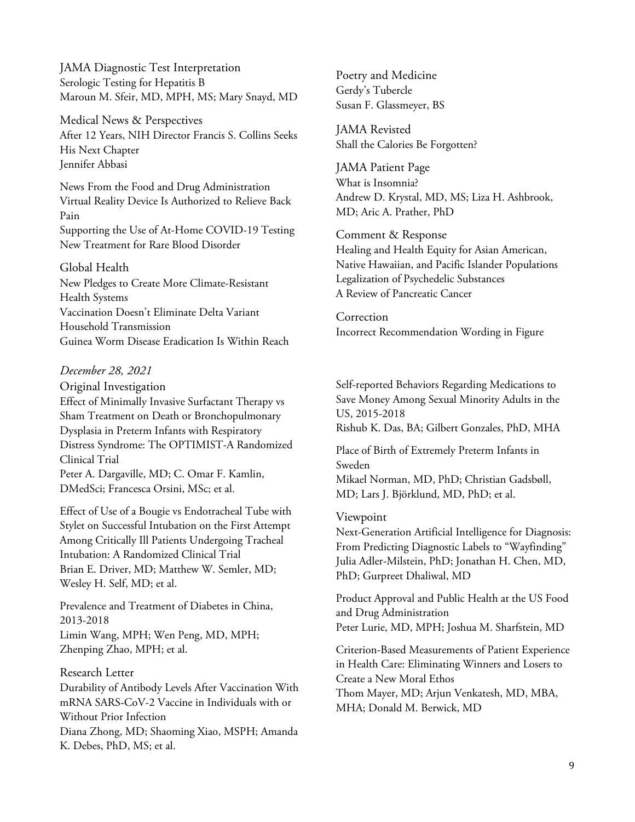JAMA Diagnostic Test Interpretation Serologic Testing for Hepatitis B Maroun M. Sfeir, MD, MPH, MS; Mary Snayd, MD

Medical News & Perspectives After 12 Years, NIH Director Francis S. Collins Seeks His Next Chapter Jennifer Abbasi

News From the Food and Drug Administration Virtual Reality Device Is Authorized to Relieve Back Pain Supporting the Use of At-Home COVID-19 Testing New Treatment for Rare Blood Disorder

## Global Health

New Pledges to Create More Climate-Resistant Health Systems Vaccination Doesn't Eliminate Delta Variant Household Transmission Guinea Worm Disease Eradication Is Within Reach

## *December 28, 2021*

Original Investigation

Effect of Minimally Invasive Surfactant Therapy vs Sham Treatment on Death or Bronchopulmonary Dysplasia in Preterm Infants with Respiratory Distress Syndrome: The OPTIMIST-A Randomized Clinical Trial Peter A. Dargaville, MD; C. Omar F. Kamlin,

DMedSci; Francesca Orsini, MSc; et al. Effect of Use of a Bougie vs Endotracheal Tube with

Stylet on Successful Intubation on the First Attempt Among Critically Ill Patients Undergoing Tracheal Intubation: A Randomized Clinical Trial Brian E. Driver, MD; Matthew W. Semler, MD; Wesley H. Self, MD; et al.

Prevalence and Treatment of Diabetes in China, 2013-2018 Limin Wang, MPH; Wen Peng, MD, MPH; Zhenping Zhao, MPH; et al.

Research Letter Durability of Antibody Levels After Vaccination With mRNA SARS-CoV-2 Vaccine in Individuals with or Without Prior Infection Diana Zhong, MD; Shaoming Xiao, MSPH; Amanda K. Debes, PhD, MS; et al.

Poetry and Medicine Gerdy's Tubercle Susan F. Glassmeyer, BS

JAMA Revisted Shall the Calories Be Forgotten?

JAMA Patient Page What is Insomnia? Andrew D. Krystal, MD, MS; Liza H. Ashbrook, MD; Aric A. Prather, PhD

Comment & Response Healing and Health Equity for Asian American, Native Hawaiian, and Pacific Islander Populations Legalization of Psychedelic Substances A Review of Pancreatic Cancer

Correction Incorrect Recommendation Wording in Figure

Self-reported Behaviors Regarding Medications to Save Money Among Sexual Minority Adults in the US, 2015-2018 Rishub K. Das, BA; Gilbert Gonzales, PhD, MHA

Place of Birth of Extremely Preterm Infants in Sweden Mikael Norman, MD, PhD; Christian Gadsbøll, MD; Lars J. Björklund, MD, PhD; et al.

#### Viewpoint

Next-Generation Artificial Intelligence for Diagnosis: From Predicting Diagnostic Labels to "Wayfinding" Julia Adler-Milstein, PhD; Jonathan H. Chen, MD, PhD; Gurpreet Dhaliwal, MD

Product Approval and Public Health at the US Food and Drug Administration Peter Lurie, MD, MPH; Joshua M. Sharfstein, MD

Criterion-Based Measurements of Patient Experience in Health Care: Eliminating Winners and Losers to Create a New Moral Ethos Thom Mayer, MD; Arjun Venkatesh, MD, MBA, MHA; Donald M. Berwick, MD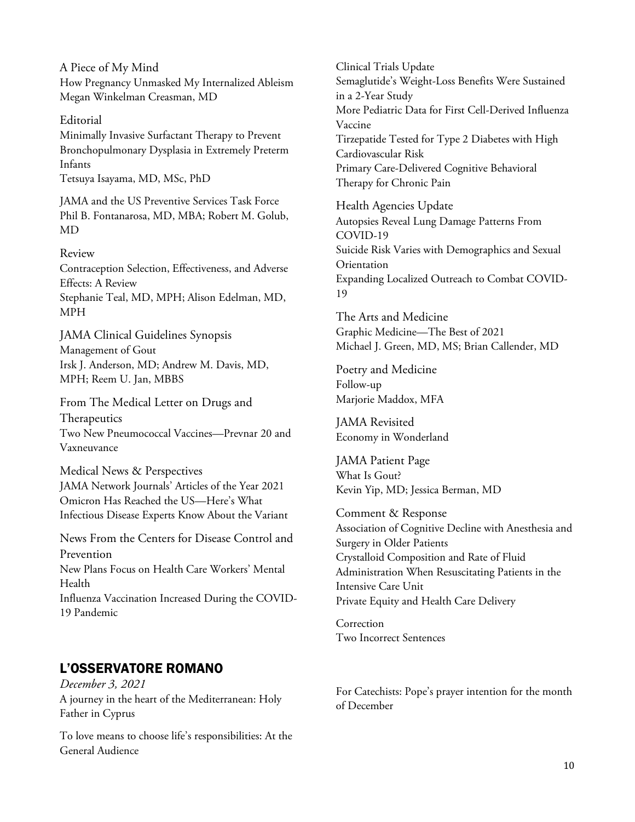A Piece of My Mind How Pregnancy Unmasked My Internalized Ableism Megan Winkelman Creasman, MD

Editorial Minimally Invasive Surfactant Therapy to Prevent Bronchopulmonary Dysplasia in Extremely Preterm Infants

Tetsuya Isayama, MD, MSc, PhD

JAMA and the US Preventive Services Task Force Phil B. Fontanarosa, MD, MBA; Robert M. Golub, MD

## Review

Contraception Selection, Effectiveness, and Adverse Effects: A Review Stephanie Teal, MD, MPH; Alison Edelman, MD, MPH

JAMA Clinical Guidelines Synopsis Management of Gout Irsk J. Anderson, MD; Andrew M. Davis, MD, MPH; Reem U. Jan, MBBS

From The Medical Letter on Drugs and Therapeutics Two New Pneumococcal Vaccines—Prevnar 20 and Vaxneuvance

Medical News & Perspectives JAMA Network Journals' Articles of the Year 2021 Omicron Has Reached the US—Here's What Infectious Disease Experts Know About the Variant

News From the Centers for Disease Control and Prevention New Plans Focus on Health Care Workers' Mental Health Influenza Vaccination Increased During the COVID-19 Pandemic

# L'OSSERVATORE ROMANO

*December 3, 2021* A journey in the heart of the Mediterranean: Holy Father in Cyprus

To love means to choose life's responsibilities: At the General Audience

Clinical Trials Update Semaglutide's Weight-Loss Benefits Were Sustained in a 2-Year Study More Pediatric Data for First Cell-Derived Influenza Vaccine Tirzepatide Tested for Type 2 Diabetes with High Cardiovascular Risk Primary Care-Delivered Cognitive Behavioral Therapy for Chronic Pain Health Agencies Update

Autopsies Reveal Lung Damage Patterns From COVID-19 Suicide Risk Varies with Demographics and Sexual Orientation Expanding Localized Outreach to Combat COVID-19

The Arts and Medicine Graphic Medicine—The Best of 2021 Michael J. Green, MD, MS; Brian Callender, MD

Poetry and Medicine Follow-up Marjorie Maddox, MFA

JAMA Revisited Economy in Wonderland

JAMA Patient Page What Is Gout? Kevin Yip, MD; Jessica Berman, MD

Comment & Response Association of Cognitive Decline with Anesthesia and Surgery in Older Patients Crystalloid Composition and Rate of Fluid Administration When Resuscitating Patients in the Intensive Care Unit Private Equity and Health Care Delivery

Correction Two Incorrect Sentences

For Catechists: Pope's prayer intention for the month of December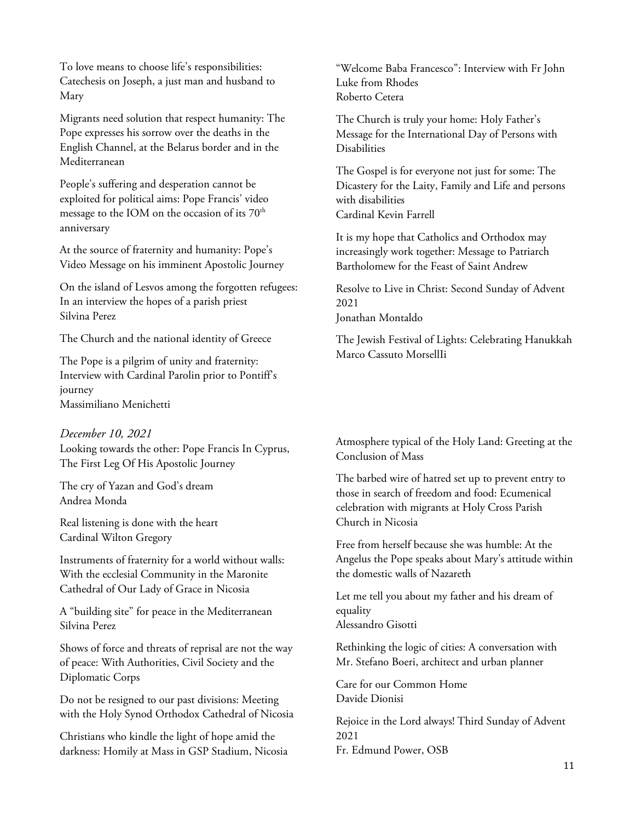To love means to choose life's responsibilities: Catechesis on Joseph, a just man and husband to Mary

Migrants need solution that respect humanity: The Pope expresses his sorrow over the deaths in the English Channel, at the Belarus border and in the Mediterranean

People's suffering and desperation cannot be exploited for political aims: Pope Francis' video message to the IOM on the occasion of its  $70<sup>th</sup>$ anniversary

At the source of fraternity and humanity: Pope's Video Message on his imminent Apostolic Journey

On the island of Lesvos among the forgotten refugees: In an interview the hopes of a parish priest Silvina Perez

The Church and the national identity of Greece

The Pope is a pilgrim of unity and fraternity: Interview with Cardinal Parolin prior to Pontiff's journey Massimiliano Menichetti

*December 10, 2021*  Looking towards the other: Pope Francis In Cyprus, The First Leg Of His Apostolic Journey

The cry of Yazan and God's dream Andrea Monda

Real listening is done with the heart Cardinal Wilton Gregory

Instruments of fraternity for a world without walls: With the ecclesial Community in the Maronite Cathedral of Our Lady of Grace in Nicosia

A "building site" for peace in the Mediterranean Silvina Perez

Shows of force and threats of reprisal are not the way of peace: With Authorities, Civil Society and the Diplomatic Corps

Do not be resigned to our past divisions: Meeting with the Holy Synod Orthodox Cathedral of Nicosia

Christians who kindle the light of hope amid the darkness: Homily at Mass in GSP Stadium, Nicosia "Welcome Baba Francesco": Interview with Fr John Luke from Rhodes Roberto Cetera

The Church is truly your home: Holy Father's Message for the International Day of Persons with Disabilities

The Gospel is for everyone not just for some: The Dicastery for the Laity, Family and Life and persons with disabilities Cardinal Kevin Farrell

It is my hope that Catholics and Orthodox may increasingly work together: Message to Patriarch Bartholomew for the Feast of Saint Andrew

Resolve to Live in Christ: Second Sunday of Advent 2021

Jonathan Montaldo

The Jewish Festival of Lights: Celebrating Hanukkah Marco Cassuto MorsellIi

Atmosphere typical of the Holy Land: Greeting at the Conclusion of Mass

The barbed wire of hatred set up to prevent entry to those in search of freedom and food: Ecumenical celebration with migrants at Holy Cross Parish Church in Nicosia

Free from herself because she was humble: At the Angelus the Pope speaks about Mary's attitude within the domestic walls of Nazareth

Let me tell you about my father and his dream of equality Alessandro Gisotti

Rethinking the logic of cities: A conversation with Mr. Stefano Boeri, architect and urban planner

Care for our Common Home Davide Dionisi

Rejoice in the Lord always! Third Sunday of Advent 2021 Fr. Edmund Power, OSB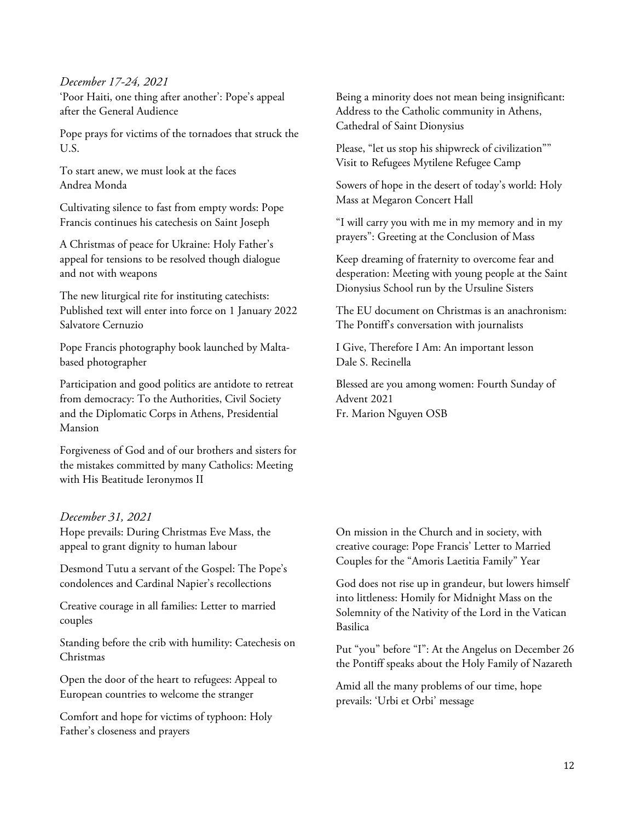## *December 17-24, 2021*

'Poor Haiti, one thing after another': Pope's appeal after the General Audience

Pope prays for victims of the tornadoes that struck the U.S.

To start anew, we must look at the faces Andrea Monda

Cultivating silence to fast from empty words: Pope Francis continues his catechesis on Saint Joseph

A Christmas of peace for Ukraine: Holy Father's appeal for tensions to be resolved though dialogue and not with weapons

The new liturgical rite for instituting catechists: Published text will enter into force on 1 January 2022 Salvatore Cernuzio

Pope Francis photography book launched by Maltabased photographer

Participation and good politics are antidote to retreat from democracy: To the Authorities, Civil Society and the Diplomatic Corps in Athens, Presidential Mansion

Forgiveness of God and of our brothers and sisters for the mistakes committed by many Catholics: Meeting with His Beatitude Ieronymos II

#### *December 31, 2021*

Hope prevails: During Christmas Eve Mass, the appeal to grant dignity to human labour

Desmond Tutu a servant of the Gospel: The Pope's condolences and Cardinal Napier's recollections

Creative courage in all families: Letter to married couples

Standing before the crib with humility: Catechesis on Christmas

Open the door of the heart to refugees: Appeal to European countries to welcome the stranger

Comfort and hope for victims of typhoon: Holy Father's closeness and prayers

Being a minority does not mean being insignificant: Address to the Catholic community in Athens, Cathedral of Saint Dionysius

Please, "let us stop his shipwreck of civilization"" Visit to Refugees Mytilene Refugee Camp

Sowers of hope in the desert of today's world: Holy Mass at Megaron Concert Hall

"I will carry you with me in my memory and in my prayers": Greeting at the Conclusion of Mass

Keep dreaming of fraternity to overcome fear and desperation: Meeting with young people at the Saint Dionysius School run by the Ursuline Sisters

The EU document on Christmas is an anachronism: The Pontiff's conversation with journalists

I Give, Therefore I Am: An important lesson Dale S. Recinella

Blessed are you among women: Fourth Sunday of Advent 2021 Fr. Marion Nguyen OSB

On mission in the Church and in society, with creative courage: Pope Francis' Letter to Married Couples for the "Amoris Laetitia Family" Year

God does not rise up in grandeur, but lowers himself into littleness: Homily for Midnight Mass on the Solemnity of the Nativity of the Lord in the Vatican Basilica

Put "you" before "I": At the Angelus on December 26 the Pontiff speaks about the Holy Family of Nazareth

Amid all the many problems of our time, hope prevails: 'Urbi et Orbi' message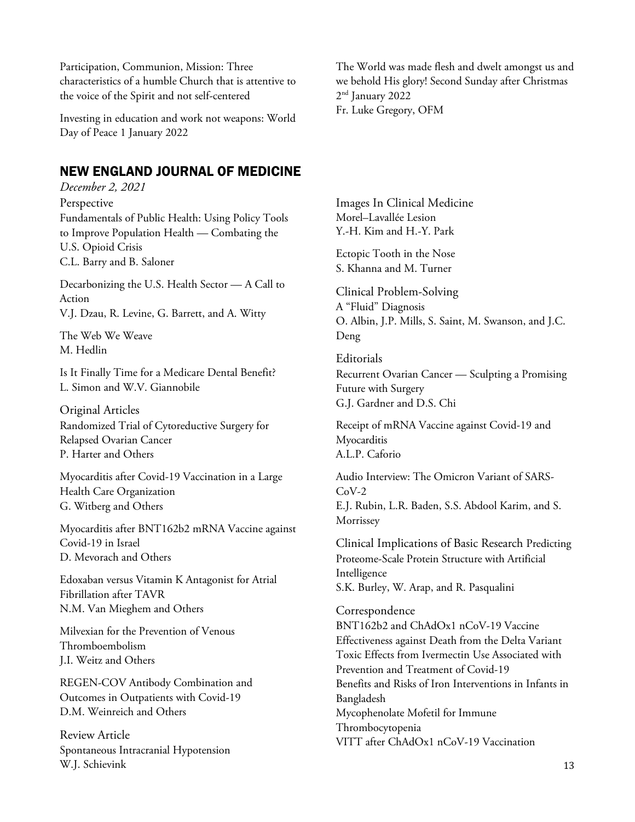Participation, Communion, Mission: Three characteristics of a humble Church that is attentive to the voice of the Spirit and not self-centered

Investing in education and work not weapons: World Day of Peace 1 January 2022

# NEW ENGLAND JOURNAL OF MEDICINE

*December 2, 2021*  Perspective Fundamentals of Public Health: Using Policy Tools to Improve Population Health — Combating the U.S. Opioid Crisis C.L. Barry and B. Saloner

Decarbonizing the U.S. Health Sector — A Call to Action V.J. Dzau, R. Levine, G. Barrett, and A. Witty

The Web We Weave M. Hedlin

Is It Finally Time for a Medicare Dental Benefit? L. Simon and W.V. Giannobile

Original Articles Randomized Trial of Cytoreductive Surgery for Relapsed Ovarian Cancer P. Harter and Others

Myocarditis after Covid-19 Vaccination in a Large Health Care Organization G. Witberg and Others

Myocarditis after BNT162b2 mRNA Vaccine against Covid-19 in Israel D. Mevorach and Others

Edoxaban versus Vitamin K Antagonist for Atrial Fibrillation after TAVR N.M. Van Mieghem and Others

Milvexian for the Prevention of Venous Thromboembolism J.I. Weitz and Others

REGEN-COV Antibody Combination and Outcomes in Outpatients with Covid-19 D.M. Weinreich and Others

Review Article Spontaneous Intracranial Hypotension W.J. Schievink

The World was made flesh and dwelt amongst us and we behold His glory! Second Sunday after Christmas 2 nd January 2022 Fr. Luke Gregory, OFM

Images In Clinical Medicine Morel–Lavallée Lesion Y.-H. Kim and H.-Y. Park

Ectopic Tooth in the Nose S. Khanna and M. Turner

Clinical Problem-Solving A "Fluid" Diagnosis O. Albin, J.P. Mills, S. Saint, M. Swanson, and J.C. Deng

Editorials Recurrent Ovarian Cancer — Sculpting a Promising Future with Surgery G.J. Gardner and D.S. Chi

Receipt of mRNA Vaccine against Covid-19 and Myocarditis A.L.P. Caforio

Audio Interview: The Omicron Variant of SARS- $C_0V-2$ E.J. Rubin, L.R. Baden, S.S. Abdool Karim, and S. Morrissey

Clinical Implications of Basic Research Predicting Proteome-Scale Protein Structure with Artificial Intelligence S.K. Burley, W. Arap, and R. Pasqualini

Correspondence BNT162b2 and ChAdOx1 nCoV-19 Vaccine Effectiveness against Death from the Delta Variant Toxic Effects from Ivermectin Use Associated with Prevention and Treatment of Covid-19 Benefits and Risks of Iron Interventions in Infants in Bangladesh Mycophenolate Mofetil for Immune Thrombocytopenia VITT after ChAdOx1 nCoV-19 Vaccination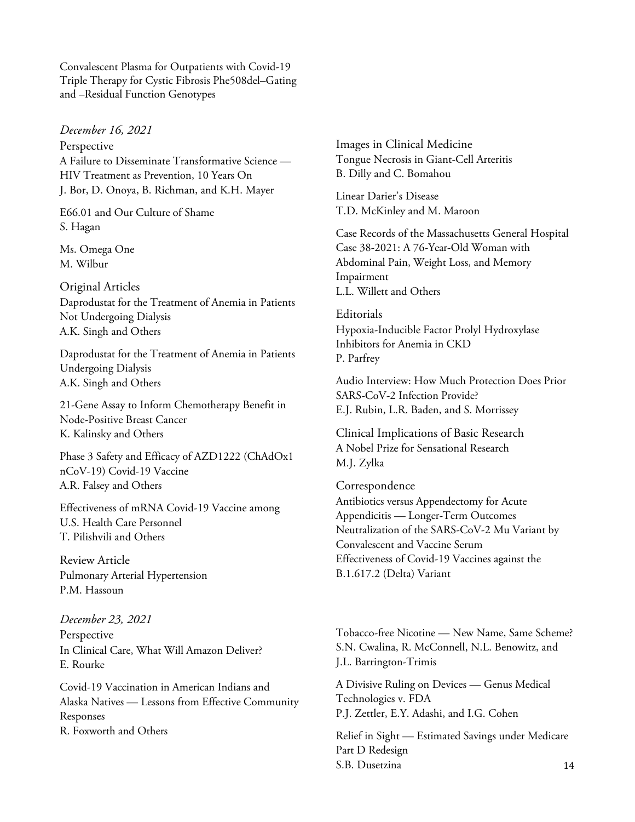Convalescent Plasma for Outpatients with Covid-19 Triple Therapy for Cystic Fibrosis Phe508del–Gating and –Residual Function Genotypes

*December 16, 2021*

Perspective A Failure to Disseminate Transformative Science — HIV Treatment as Prevention, 10 Years On J. Bor, D. Onoya, B. Richman, and K.H. Mayer

E66.01 and Our Culture of Shame S. Hagan

Ms. Omega One M. Wilbur

Original Articles Daprodustat for the Treatment of Anemia in Patients Not Undergoing Dialysis A.K. Singh and Others

Daprodustat for the Treatment of Anemia in Patients Undergoing Dialysis A.K. Singh and Others

21-Gene Assay to Inform Chemotherapy Benefit in Node-Positive Breast Cancer K. Kalinsky and Others

Phase 3 Safety and Efficacy of AZD1222 (ChAdOx1 nCoV-19) Covid-19 Vaccine A.R. Falsey and Others

Effectiveness of mRNA Covid-19 Vaccine among U.S. Health Care Personnel T. Pilishvili and Others

Review Article Pulmonary Arterial Hypertension P.M. Hassoun

*December 23, 2021* Perspective In Clinical Care, What Will Amazon Deliver? E. Rourke

Covid-19 Vaccination in American Indians and Alaska Natives — Lessons from Effective Community Responses R. Foxworth and Others

Images in Clinical Medicine Tongue Necrosis in Giant-Cell Arteritis B. Dilly and C. Bomahou

Linear Darier's Disease T.D. McKinley and M. Maroon

Case Records of the Massachusetts General Hospital Case 38-2021: A 76-Year-Old Woman with Abdominal Pain, Weight Loss, and Memory Impairment L.L. Willett and Others

Editorials Hypoxia-Inducible Factor Prolyl Hydroxylase Inhibitors for Anemia in CKD P. Parfrey

Audio Interview: How Much Protection Does Prior SARS-CoV-2 Infection Provide? E.J. Rubin, L.R. Baden, and S. Morrissey

Clinical Implications of Basic Research A Nobel Prize for Sensational Research M.J. Zylka

Correspondence Antibiotics versus Appendectomy for Acute Appendicitis — Longer-Term Outcomes Neutralization of the SARS-CoV-2 Mu Variant by Convalescent and Vaccine Serum Effectiveness of Covid-19 Vaccines against the B.1.617.2 (Delta) Variant

Tobacco-free Nicotine — New Name, Same Scheme? S.N. Cwalina, R. McConnell, N.L. Benowitz, and J.L. Barrington-Trimis

A Divisive Ruling on Devices — Genus Medical Technologies v. FDA P.J. Zettler, E.Y. Adashi, and I.G. Cohen

14 Relief in Sight — Estimated Savings under Medicare Part D Redesign S.B. Dusetzina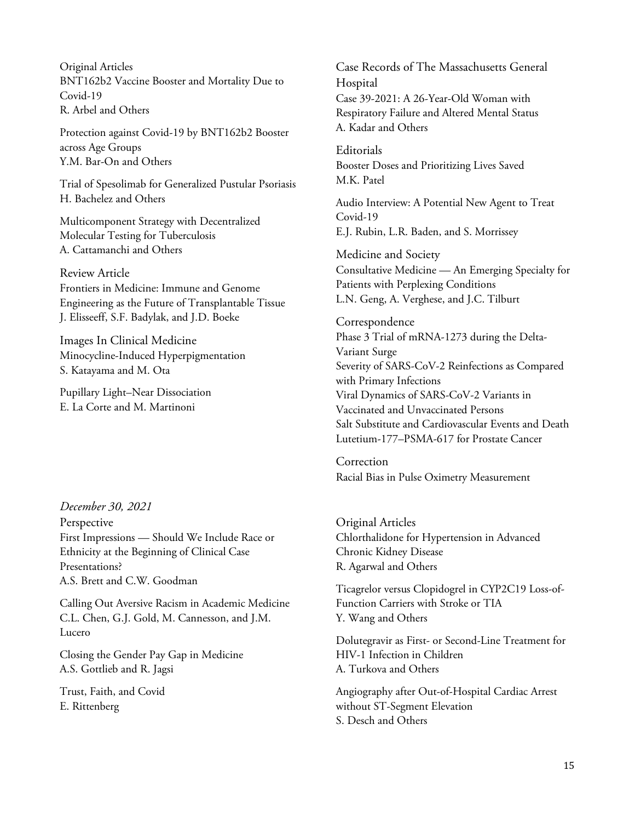Original Articles BNT162b2 Vaccine Booster and Mortality Due to Covid-19 R. Arbel and Others

Protection against Covid-19 by BNT162b2 Booster across Age Groups Y.M. Bar-On and Others

Trial of Spesolimab for Generalized Pustular Psoriasis H. Bachelez and Others

Multicomponent Strategy with Decentralized Molecular Testing for Tuberculosis A. Cattamanchi and Others

### Review Article

Frontiers in Medicine: Immune and Genome Engineering as the Future of Transplantable Tissue J. Elisseeff, S.F. Badylak, and J.D. Boeke

Images In Clinical Medicine Minocycline-Induced Hyperpigmentation S. Katayama and M. Ota

Pupillary Light–Near Dissociation E. La Corte and M. Martinoni

*December 30, 2021* Perspective First Impressions — Should We Include Race or Ethnicity at the Beginning of Clinical Case Presentations? A.S. Brett and C.W. Goodman

Calling Out Aversive Racism in Academic Medicine C.L. Chen, G.J. Gold, M. Cannesson, and J.M. Lucero

Closing the Gender Pay Gap in Medicine A.S. Gottlieb and R. Jagsi

Trust, Faith, and Covid E. Rittenberg

Case Records of The Massachusetts General Hospital Case 39-2021: A 26-Year-Old Woman with Respiratory Failure and Altered Mental Status A. Kadar and Others

Editorials Booster Doses and Prioritizing Lives Saved M.K. Patel

Audio Interview: A Potential New Agent to Treat Covid-19 E.J. Rubin, L.R. Baden, and S. Morrissey

Medicine and Society Consultative Medicine — An Emerging Specialty for Patients with Perplexing Conditions L.N. Geng, A. Verghese, and J.C. Tilburt

Correspondence Phase 3 Trial of mRNA-1273 during the Delta-Variant Surge Severity of SARS-CoV-2 Reinfections as Compared with Primary Infections Viral Dynamics of SARS-CoV-2 Variants in Vaccinated and Unvaccinated Persons Salt Substitute and Cardiovascular Events and Death Lutetium-177–PSMA-617 for Prostate Cancer

Correction Racial Bias in Pulse Oximetry Measurement

Original Articles Chlorthalidone for Hypertension in Advanced Chronic Kidney Disease R. Agarwal and Others

Ticagrelor versus Clopidogrel in CYP2C19 Loss-of-Function Carriers with Stroke or TIA Y. Wang and Others

Dolutegravir as First- or Second-Line Treatment for HIV-1 Infection in Children A. Turkova and Others

Angiography after Out-of-Hospital Cardiac Arrest without ST-Segment Elevation S. Desch and Others